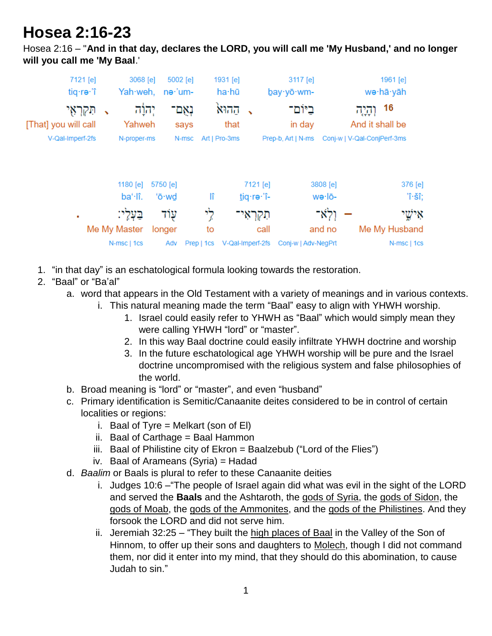## **Hosea 2:16-23**

Hosea 2:16 – "**And in that day, declares the LORD, you will call me 'My Husband,' and no longer will you call me 'My Baal**.'

| 7121 [e]                           | 3068 [e]          | 5002 [e] |             | 1931 [e]         | 3117 [e]            |          | 1961 [e]                         |
|------------------------------------|-------------------|----------|-------------|------------------|---------------------|----------|----------------------------------|
| tiq·re·'î                          | Yah·weh,          | ne·'um-  |             | ha·hū            | bay · yō · wm-      |          | wə∙hā∙yāh                        |
| תִּקְרְאָי<br>[That] you will call | יְהוָׂה<br>Yahweh |          | נאם<br>says | ההוא<br>that     | ביום־<br>in day     |          | 16<br>וְהָיָה<br>And it shall be |
| V-Qal-Imperf-2fs                   | N-proper-ms       |          | N-msc       | Art   Pro-3ms    | Prep-b, Art   N-ms  |          | Conj-w   V-Qal-ConjPerf-3ms      |
|                                    | 1180 [e]          | 5750 [e] |             | 7121 [e]         |                     | 3808 [e] | 376 [e]                          |
|                                    | ba'·lî.           | 'ō·wd    | lî          | tiq·re·'î-       |                     | wə·lō-   | 'î∙šî;                           |
| ٠                                  | בעלי:             | עוד      | לי          | חקראי            |                     | ולא־     | אישי                             |
|                                    | Me My Master      | longer   | to          |                  | call                | and no   | Me My Husband                    |
|                                    | N-msc   1cs       | Adv      | Prep   1cs  | V-Qal-Imperf-2fs | Conj-w   Adv-NegPrt |          | N-msc   1cs                      |

- 1. "in that day" is an eschatological formula looking towards the restoration.
- 2. "Baal" or "Ba'al"
	- a. word that appears in the Old Testament with a variety of meanings and in various contexts.
		- i. This natural meaning made the term "Baal" easy to align with YHWH worship.
			- 1. Israel could easily refer to YHWH as "Baal" which would simply mean they were calling YHWH "lord" or "master".
			- 2. In this way Baal doctrine could easily infiltrate YHWH doctrine and worship
			- 3. In the future eschatological age YHWH worship will be pure and the Israel doctrine uncompromised with the religious system and false philosophies of the world.
	- b. Broad meaning is "lord" or "master", and even "husband"
	- c. Primary identification is Semitic/Canaanite deites considered to be in control of certain localities or regions:
		- i. Baal of Tyre = Melkart (son of EI)
		- ii. Baal of Carthage = Baal Hammon
		- iii. Baal of Philistine city of  $Ekron = Baalzebub$  ("Lord of the Flies")
		- iv. Baal of Arameans (Syria) = Hadad
	- d. *Baalim* or Baals is plural to refer to these Canaanite deities
		- i. Judges 10:6 –"The people of Israel again did what was evil in the sight of the LORD and served the **Baals** and the Ashtaroth, the gods of Syria, the gods of Sidon, the gods of Moab, the gods of the Ammonites, and the gods of the Philistines. And they forsook the LORD and did not serve him.
		- ii. Jeremiah 32:25 "They built the high places of Baal in the Valley of the Son of Hinnom, to offer up their sons and daughters to Molech, though I did not command them, nor did it enter into my mind, that they should do this abomination, to cause Judah to sin."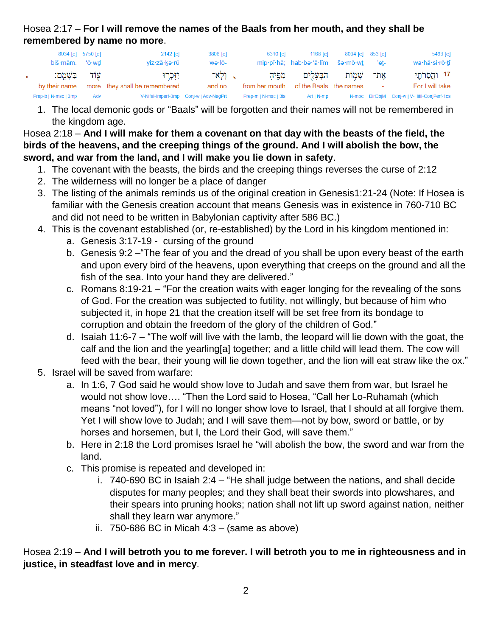Hosea 2:17 – **For I will remove the names of the Baals from her mouth, and they shall be remembered by name no more**.

| biš·mām. 'ō·wd                  | 8034 [e] 5750 [e] | 2142 [e]<br>viz·zā·ke·rū                    | 3808 [e]<br>wə·lō-                     | 6310 lel               | 1168 [e]<br>mip·pî·hā; hab·be·'ā·lîm še·mō·wt 'et- | 8034 [e] 853 [e] | $5493$ [e]<br>wa·hă·si·rō·tî                |
|---------------------------------|-------------------|---------------------------------------------|----------------------------------------|------------------------|----------------------------------------------------|------------------|---------------------------------------------|
| עוד בִּשְׁמֵם:<br>by their name |                   | יִזָּכְרוּ<br>more they shall be remembered | - וַלְאֹ־<br>and no                    | מפיה<br>from her mouth | הַבִּעַלִים<br>of the Baals the names              | אַת־ שָׁמְוֹת    | 17 וַהֲסְרֹחֱי<br>For I will take           |
| Prep-b   N-msc   3mp            | Adv               |                                             | V-Nifal-Imperf-3mp Conj-w   Adv-NegPrt | Prep-m   N-msc   3fs   | Art   N-mp                                         |                  | N-mpc DirObjM Conj-w   V-Hifil-ConjPerf-1cs |

1. The local demonic gods or "Baals" will be forgotten and their names will not be remembered in the kingdom age.

Hosea 2:18 – **And I will make for them a covenant on that day with the beasts of the field, the birds of the heavens, and the creeping things of the ground. And I will abolish the bow, the sword, and war from the land, and I will make you lie down in safety**.

- 1. The covenant with the beasts, the birds and the creeping things reverses the curse of 2:12
- 2. The wilderness will no longer be a place of danger
- 3. The listing of the animals reminds us of the original creation in Genesis1:21-24 (Note: If Hosea is familiar with the Genesis creation account that means Genesis was in existence in 760-710 BC and did not need to be written in Babylonian captivity after 586 BC.)
- 4. This is the covenant established (or, re-established) by the Lord in his kingdom mentioned in:
	- a. Genesis 3:17-19 cursing of the ground
	- b. Genesis 9:2 –"The fear of you and the dread of you shall be upon every beast of the earth and upon every bird of the heavens, upon everything that creeps on the ground and all the fish of the sea. Into your hand they are delivered."
	- c. Romans 8:19-21 "For the creation waits with eager longing for the revealing of the sons of God. For the creation was subjected to futility, not willingly, but because of him who subjected it, in hope 21 that the creation itself will be set free from its bondage to corruption and obtain the freedom of the glory of the children of God."
	- d. Isaiah 11:6-7 "The wolf will live with the lamb, the leopard will lie down with the goat, the calf and the lion and the yearling[a] together; and a little child will lead them. The cow will feed with the bear, their young will lie down together, and the lion will eat straw like the ox."
- 5. Israel will be saved from warfare:
	- a. In 1:6, 7 God said he would show love to Judah and save them from war, but Israel he would not show love…. "Then the Lord said to Hosea, "Call her Lo-Ruhamah (which means "not loved"), for I will no longer show love to Israel, that I should at all forgive them. Yet I will show love to Judah; and I will save them—not by bow, sword or battle, or by horses and horsemen, but I, the Lord their God, will save them."
	- b. Here in 2:18 the Lord promises Israel he "will abolish the bow, the sword and war from the land.
	- c. This promise is repeated and developed in:
		- i. 740-690 BC in Isaiah 2:4 "He shall judge between the nations, and shall decide disputes for many peoples; and they shall beat their swords into plowshares, and their spears into pruning hooks; nation shall not lift up sword against nation, neither shall they learn war anymore."
		- ii. 750-686 BC in Micah  $4:3 -$  (same as above)

Hosea 2:19 – **And I will betroth you to me forever. I will betroth you to me in righteousness and in justice, in steadfast love and in mercy**.